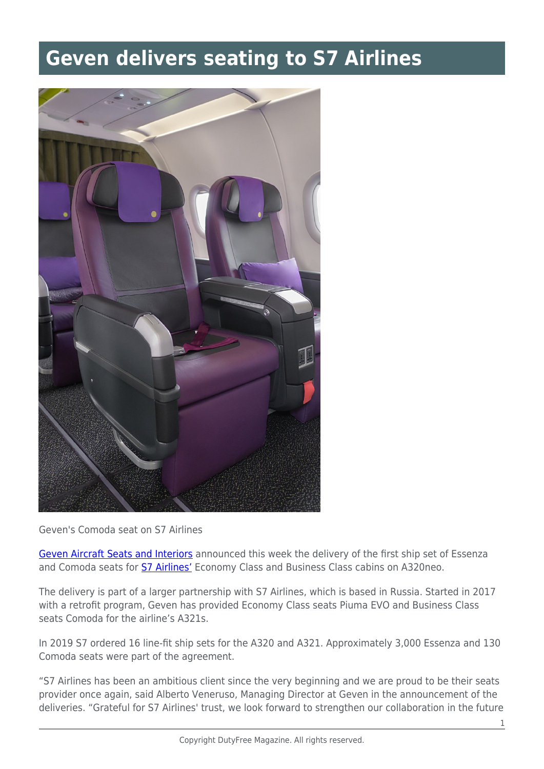## **Geven delivers seating to S7 Airlines**



Geven's Comoda seat on S7 Airlines

[Geven Aircraft Seats and Interiors](https://www.geven.com) announced this week the delivery of the first ship set of Essenza and Comoda seats for **[S7 Airlines'](https://www.s7.ru)** Economy Class and Business Class cabins on A320neo.

The delivery is part of a larger partnership with S7 Airlines, which is based in Russia. Started in 2017 with a retrofit program, Geven has provided Economy Class seats Piuma EVO and Business Class seats Comoda for the airline's A321s.

In 2019 S7 ordered 16 line-fit ship sets for the A320 and A321. Approximately 3,000 Essenza and 130 Comoda seats were part of the agreement.

"S7 Airlines has been an ambitious client since the very beginning and we are proud to be their seats provider once again, said Alberto Veneruso, Managing Director at Geven in the announcement of the deliveries. "Grateful for S7 Airlines' trust, we look forward to strengthen our collaboration in the future